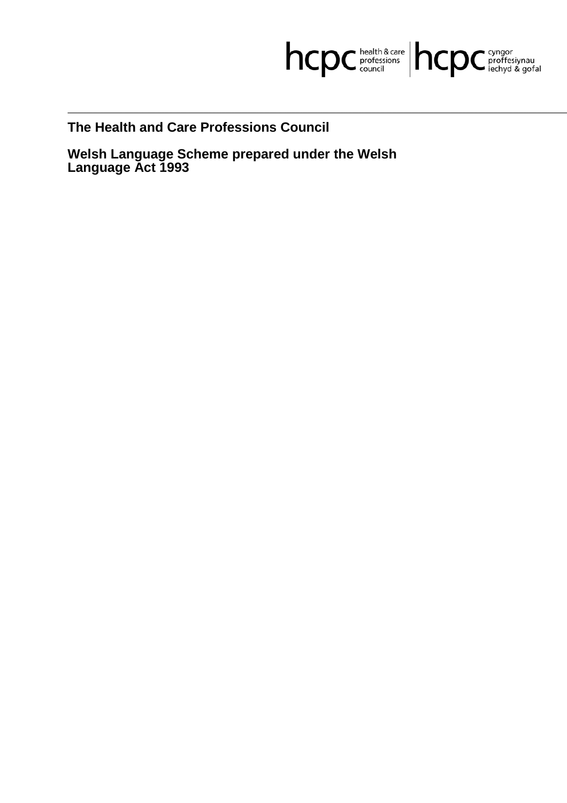

**The Health and Care Professions Council**

**Welsh Language Scheme prepared under the Welsh Language Act 1993**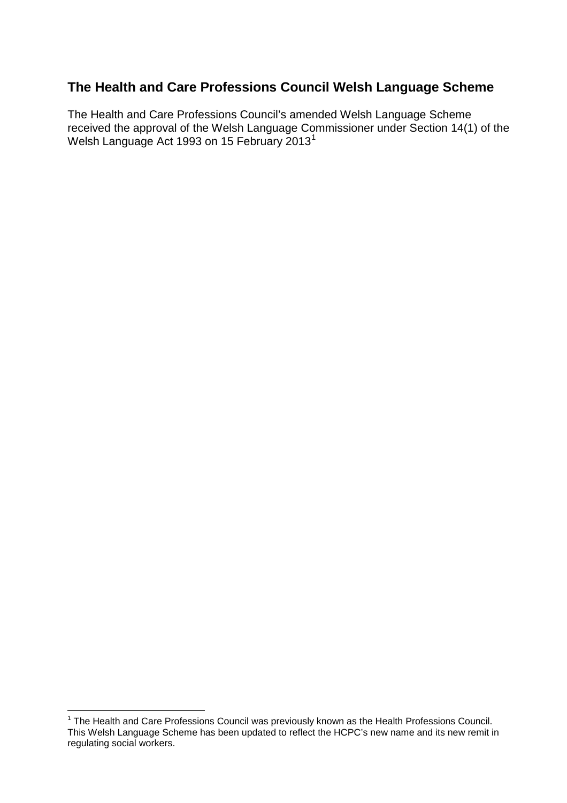## **The Health and Care Professions Council Welsh Language Scheme**

The Health and Care Professions Council's amended Welsh Language Scheme received the approval of the Welsh Language Commissioner under Section 14(1) of the Welsh Language Act 1993 on 15 February 2013<sup>1</sup>

<sup>&</sup>lt;sup>1</sup> The Health and Care Professions Council was previously known as the Health Professions Council. This Welsh Language Scheme has been updated to reflect the HCPC's new name and its new remit in regulating social workers.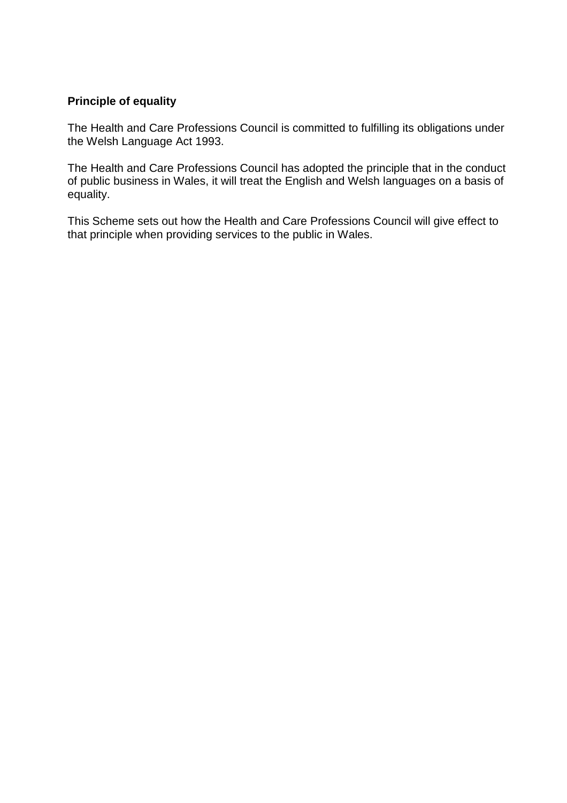#### **Principle of equality**

The Health and Care Professions Council is committed to fulfilling its obligations under the Welsh Language Act 1993.

The Health and Care Professions Council has adopted the principle that in the conduct of public business in Wales, it will treat the English and Welsh languages on a basis of equality.

This Scheme sets out how the Health and Care Professions Council will give effect to that principle when providing services to the public in Wales.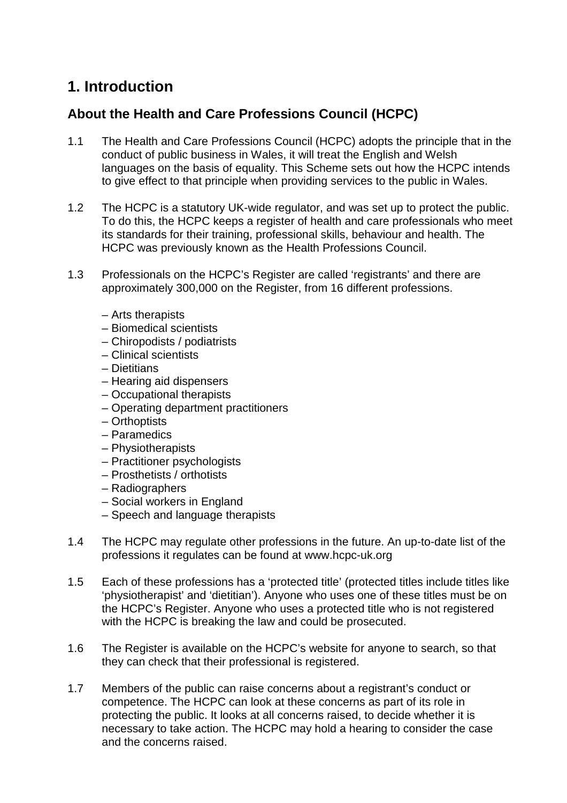# **1. Introduction**

## **About the Health and Care Professions Council (HCPC)**

- 1.1 The Health and Care Professions Council (HCPC) adopts the principle that in the conduct of public business in Wales, it will treat the English and Welsh languages on the basis of equality. This Scheme sets out how the HCPC intends to give effect to that principle when providing services to the public in Wales.
- 1.2 The HCPC is a statutory UK-wide regulator, and was set up to protect the public. To do this, the HCPC keeps a register of health and care professionals who meet its standards for their training, professional skills, behaviour and health. The HCPC was previously known as the Health Professions Council.
- 1.3 Professionals on the HCPC's Register are called 'registrants' and there are approximately 300,000 on the Register, from 16 different professions.
	- Arts therapists
	- Biomedical scientists
	- Chiropodists / podiatrists
	- Clinical scientists
	- Dietitians
	- Hearing aid dispensers
	- Occupational therapists
	- Operating department practitioners
	- Orthoptists
	- Paramedics
	- Physiotherapists
	- Practitioner psychologists
	- Prosthetists / orthotists
	- Radiographers
	- Social workers in England
	- Speech and language therapists
- 1.4 The HCPC may regulate other professions in the future. An up-to-date list of the professions it regulates can be found at www.hcpc-uk.org
- 1.5 Each of these professions has a 'protected title' (protected titles include titles like 'physiotherapist' and 'dietitian'). Anyone who uses one of these titles must be on the HCPC's Register. Anyone who uses a protected title who is not registered with the HCPC is breaking the law and could be prosecuted.
- 1.6 The Register is available on the HCPC's website for anyone to search, so that they can check that their professional is registered.
- 1.7 Members of the public can raise concerns about a registrant's conduct or competence. The HCPC can look at these concerns as part of its role in protecting the public. It looks at all concerns raised, to decide whether it is necessary to take action. The HCPC may hold a hearing to consider the case and the concerns raised.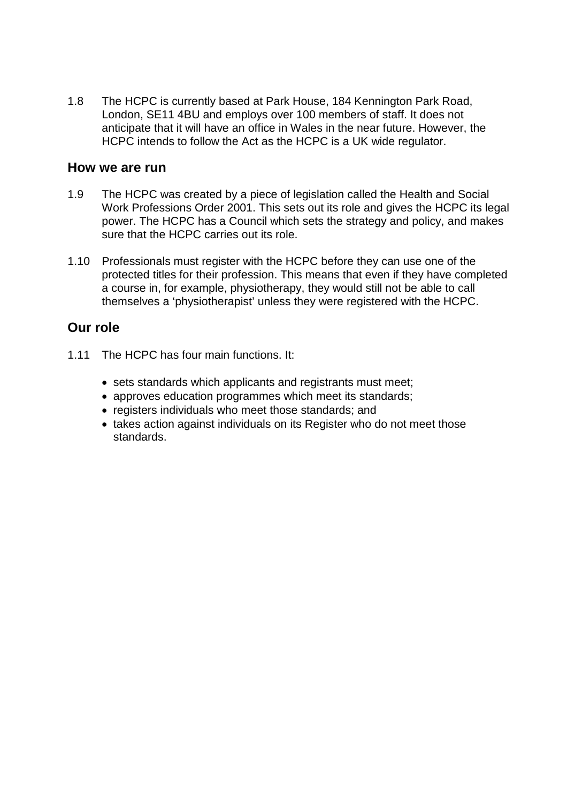1.8 The HCPC is currently based at Park House, 184 Kennington Park Road, London, SE11 4BU and employs over 100 members of staff. It does not anticipate that it will have an office in Wales in the near future. However, the HCPC intends to follow the Act as the HCPC is a UK wide regulator.

#### **How we are run**

- 1.9 The HCPC was created by a piece of legislation called the Health and Social Work Professions Order 2001. This sets out its role and gives the HCPC its legal power. The HCPC has a Council which sets the strategy and policy, and makes sure that the HCPC carries out its role.
- 1.10 Professionals must register with the HCPC before they can use one of the protected titles for their profession. This means that even if they have completed a course in, for example, physiotherapy, they would still not be able to call themselves a 'physiotherapist' unless they were registered with the HCPC.

### **Our role**

- 1.11 The HCPC has four main functions. It:
	- sets standards which applicants and registrants must meet;
	- approves education programmes which meet its standards;
	- registers individuals who meet those standards; and
	- takes action against individuals on its Register who do not meet those standards.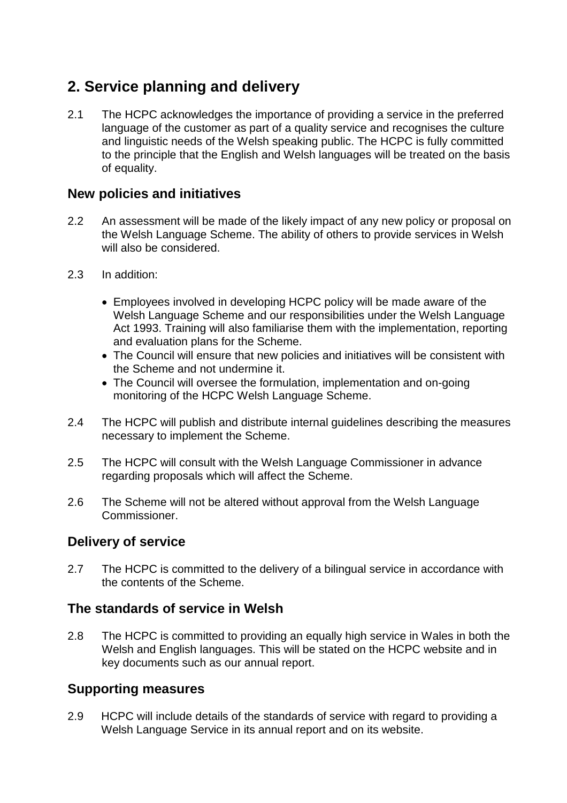# **2. Service planning and delivery**

2.1 The HCPC acknowledges the importance of providing a service in the preferred language of the customer as part of a quality service and recognises the culture and linguistic needs of the Welsh speaking public. The HCPC is fully committed to the principle that the English and Welsh languages will be treated on the basis of equality.

#### **New policies and initiatives**

- 2.2 An assessment will be made of the likely impact of any new policy or proposal on the Welsh Language Scheme. The ability of others to provide services in Welsh will also be considered.
- 2.3 In addition:
	- Employees involved in developing HCPC policy will be made aware of the Welsh Language Scheme and our responsibilities under the Welsh Language Act 1993. Training will also familiarise them with the implementation, reporting and evaluation plans for the Scheme.
	- The Council will ensure that new policies and initiatives will be consistent with the Scheme and not undermine it.
	- The Council will oversee the formulation, implementation and on-going monitoring of the HCPC Welsh Language Scheme.
- 2.4 The HCPC will publish and distribute internal guidelines describing the measures necessary to implement the Scheme.
- 2.5 The HCPC will consult with the Welsh Language Commissioner in advance regarding proposals which will affect the Scheme.
- 2.6 The Scheme will not be altered without approval from the Welsh Language Commissioner.

### **Delivery of service**

2.7 The HCPC is committed to the delivery of a bilingual service in accordance with the contents of the Scheme.

### **The standards of service in Welsh**

2.8 The HCPC is committed to providing an equally high service in Wales in both the Welsh and English languages. This will be stated on the HCPC website and in key documents such as our annual report.

### **Supporting measures**

2.9 HCPC will include details of the standards of service with regard to providing a Welsh Language Service in its annual report and on its website.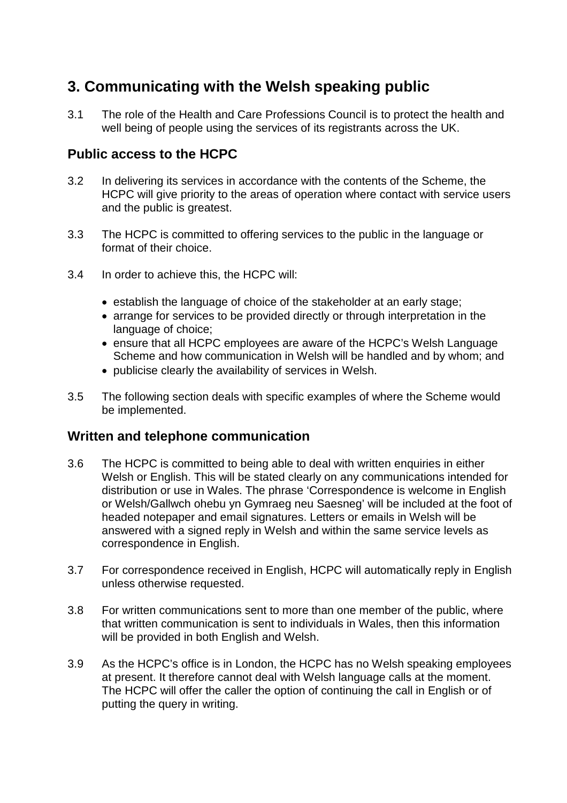# **3. Communicating with the Welsh speaking public**

3.1 The role of the Health and Care Professions Council is to protect the health and well being of people using the services of its registrants across the UK.

#### **Public access to the HCPC**

- 3.2 In delivering its services in accordance with the contents of the Scheme, the HCPC will give priority to the areas of operation where contact with service users and the public is greatest.
- 3.3 The HCPC is committed to offering services to the public in the language or format of their choice.
- 3.4 In order to achieve this, the HCPC will:
	- establish the language of choice of the stakeholder at an early stage;
	- arrange for services to be provided directly or through interpretation in the language of choice;
	- ensure that all HCPC employees are aware of the HCPC's Welsh Language Scheme and how communication in Welsh will be handled and by whom; and
	- publicise clearly the availability of services in Welsh.
- 3.5 The following section deals with specific examples of where the Scheme would be implemented.

#### **Written and telephone communication**

- 3.6 The HCPC is committed to being able to deal with written enquiries in either Welsh or English. This will be stated clearly on any communications intended for distribution or use in Wales. The phrase 'Correspondence is welcome in English or Welsh/Gallwch ohebu yn Gymraeg neu Saesneg' will be included at the foot of headed notepaper and email signatures. Letters or emails in Welsh will be answered with a signed reply in Welsh and within the same service levels as correspondence in English.
- 3.7 For correspondence received in English, HCPC will automatically reply in English unless otherwise requested.
- 3.8 For written communications sent to more than one member of the public, where that written communication is sent to individuals in Wales, then this information will be provided in both English and Welsh.
- 3.9 As the HCPC's office is in London, the HCPC has no Welsh speaking employees at present. It therefore cannot deal with Welsh language calls at the moment. The HCPC will offer the caller the option of continuing the call in English or of putting the query in writing.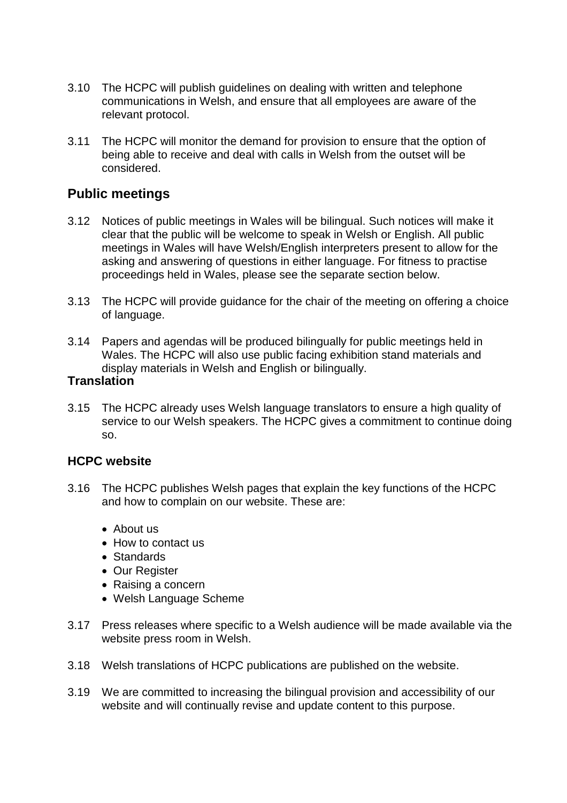- 3.10 The HCPC will publish guidelines on dealing with written and telephone communications in Welsh, and ensure that all employees are aware of the relevant protocol.
- 3.11 The HCPC will monitor the demand for provision to ensure that the option of being able to receive and deal with calls in Welsh from the outset will be considered.

#### **Public meetings**

- 3.12 Notices of public meetings in Wales will be bilingual. Such notices will make it clear that the public will be welcome to speak in Welsh or English. All public meetings in Wales will have Welsh/English interpreters present to allow for the asking and answering of questions in either language. For fitness to practise proceedings held in Wales, please see the separate section below.
- 3.13 The HCPC will provide guidance for the chair of the meeting on offering a choice of language.
- 3.14 Papers and agendas will be produced bilingually for public meetings held in Wales. The HCPC will also use public facing exhibition stand materials and display materials in Welsh and English or bilingually.

#### **Translation**

3.15 The HCPC already uses Welsh language translators to ensure a high quality of service to our Welsh speakers. The HCPC gives a commitment to continue doing so.

#### **HCPC website**

- 3.16 The HCPC publishes Welsh pages that explain the key functions of the HCPC and how to complain on our website. These are:
	- About us
	- How to contact us
	- Standards
	- Our Register
	- Raising a concern
	- Welsh Language Scheme
- 3.17 Press releases where specific to a Welsh audience will be made available via the website press room in Welsh.
- 3.18 Welsh translations of HCPC publications are published on the website.
- 3.19 We are committed to increasing the bilingual provision and accessibility of our website and will continually revise and update content to this purpose.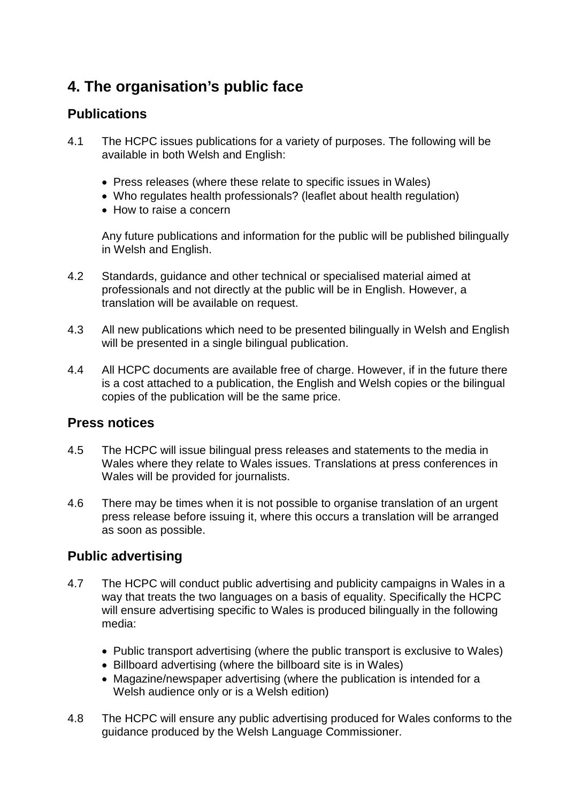# **4. The organisation's public face**

### **Publications**

- 4.1 The HCPC issues publications for a variety of purposes. The following will be available in both Welsh and English:
	- Press releases (where these relate to specific issues in Wales)
	- Who regulates health professionals? (leaflet about health regulation)
	- How to raise a concern

Any future publications and information for the public will be published bilingually in Welsh and English.

- 4.2 Standards, guidance and other technical or specialised material aimed at professionals and not directly at the public will be in English. However, a translation will be available on request.
- 4.3 All new publications which need to be presented bilingually in Welsh and English will be presented in a single bilingual publication.
- 4.4 All HCPC documents are available free of charge. However, if in the future there is a cost attached to a publication, the English and Welsh copies or the bilingual copies of the publication will be the same price.

### **Press notices**

- 4.5 The HCPC will issue bilingual press releases and statements to the media in Wales where they relate to Wales issues. Translations at press conferences in Wales will be provided for journalists.
- 4.6 There may be times when it is not possible to organise translation of an urgent press release before issuing it, where this occurs a translation will be arranged as soon as possible.

### **Public advertising**

- 4.7 The HCPC will conduct public advertising and publicity campaigns in Wales in a way that treats the two languages on a basis of equality. Specifically the HCPC will ensure advertising specific to Wales is produced bilingually in the following media:
	- Public transport advertising (where the public transport is exclusive to Wales)
	- Billboard advertising (where the billboard site is in Wales)
	- Magazine/newspaper advertising (where the publication is intended for a Welsh audience only or is a Welsh edition)
- 4.8 The HCPC will ensure any public advertising produced for Wales conforms to the guidance produced by the Welsh Language Commissioner.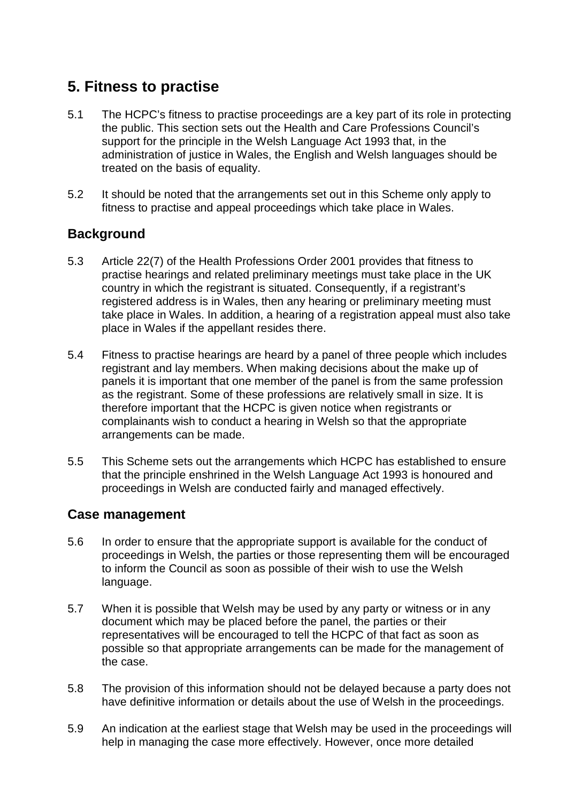# **5. Fitness to practise**

- 5.1 The HCPC's fitness to practise proceedings are a key part of its role in protecting the public. This section sets out the Health and Care Professions Council's support for the principle in the Welsh Language Act 1993 that, in the administration of justice in Wales, the English and Welsh languages should be treated on the basis of equality.
- 5.2 It should be noted that the arrangements set out in this Scheme only apply to fitness to practise and appeal proceedings which take place in Wales.

### **Background**

- 5.3 Article 22(7) of the Health Professions Order 2001 provides that fitness to practise hearings and related preliminary meetings must take place in the UK country in which the registrant is situated. Consequently, if a registrant's registered address is in Wales, then any hearing or preliminary meeting must take place in Wales. In addition, a hearing of a registration appeal must also take place in Wales if the appellant resides there.
- 5.4 Fitness to practise hearings are heard by a panel of three people which includes registrant and lay members. When making decisions about the make up of panels it is important that one member of the panel is from the same profession as the registrant. Some of these professions are relatively small in size. It is therefore important that the HCPC is given notice when registrants or complainants wish to conduct a hearing in Welsh so that the appropriate arrangements can be made.
- 5.5 This Scheme sets out the arrangements which HCPC has established to ensure that the principle enshrined in the Welsh Language Act 1993 is honoured and proceedings in Welsh are conducted fairly and managed effectively.

#### **Case management**

- 5.6 In order to ensure that the appropriate support is available for the conduct of proceedings in Welsh, the parties or those representing them will be encouraged to inform the Council as soon as possible of their wish to use the Welsh language.
- 5.7 When it is possible that Welsh may be used by any party or witness or in any document which may be placed before the panel, the parties or their representatives will be encouraged to tell the HCPC of that fact as soon as possible so that appropriate arrangements can be made for the management of the case.
- 5.8 The provision of this information should not be delayed because a party does not have definitive information or details about the use of Welsh in the proceedings.
- 5.9 An indication at the earliest stage that Welsh may be used in the proceedings will help in managing the case more effectively. However, once more detailed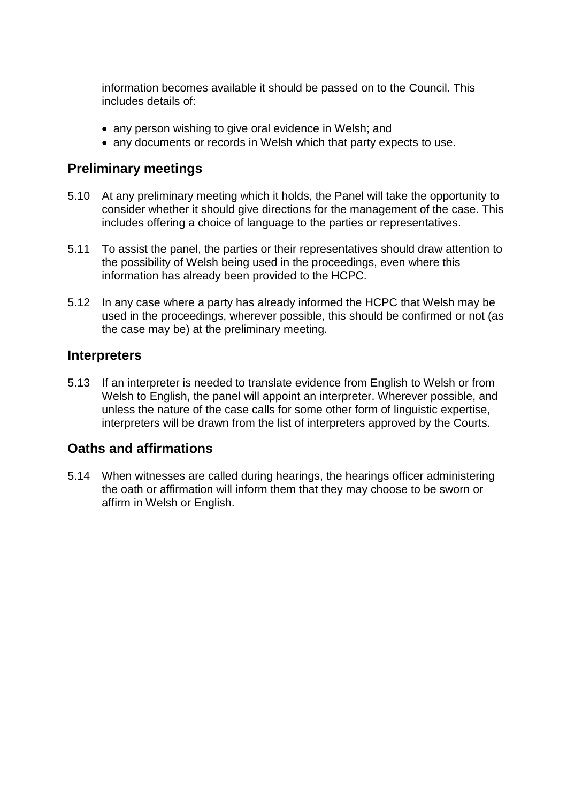information becomes available it should be passed on to the Council. This includes details of:

- any person wishing to give oral evidence in Welsh; and
- any documents or records in Welsh which that party expects to use.

#### **Preliminary meetings**

- 5.10 At any preliminary meeting which it holds, the Panel will take the opportunity to consider whether it should give directions for the management of the case. This includes offering a choice of language to the parties or representatives.
- 5.11 To assist the panel, the parties or their representatives should draw attention to the possibility of Welsh being used in the proceedings, even where this information has already been provided to the HCPC.
- 5.12 In any case where a party has already informed the HCPC that Welsh may be used in the proceedings, wherever possible, this should be confirmed or not (as the case may be) at the preliminary meeting.

#### **Interpreters**

5.13 If an interpreter is needed to translate evidence from English to Welsh or from Welsh to English, the panel will appoint an interpreter. Wherever possible, and unless the nature of the case calls for some other form of linguistic expertise, interpreters will be drawn from the list of interpreters approved by the Courts.

#### **Oaths and affirmations**

5.14 When witnesses are called during hearings, the hearings officer administering the oath or affirmation will inform them that they may choose to be sworn or affirm in Welsh or English.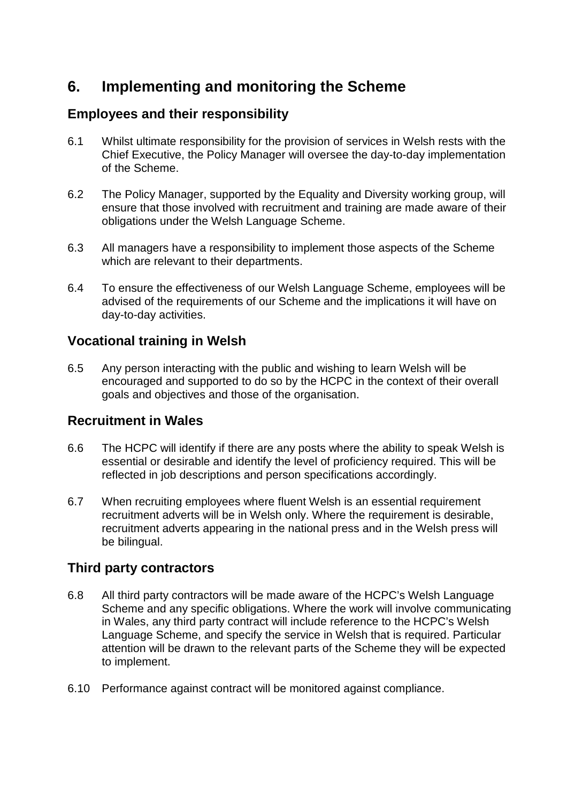# **6. Implementing and monitoring the Scheme**

## **Employees and their responsibility**

- 6.1 Whilst ultimate responsibility for the provision of services in Welsh rests with the Chief Executive, the Policy Manager will oversee the day-to-day implementation of the Scheme.
- 6.2 The Policy Manager, supported by the Equality and Diversity working group, will ensure that those involved with recruitment and training are made aware of their obligations under the Welsh Language Scheme.
- 6.3 All managers have a responsibility to implement those aspects of the Scheme which are relevant to their departments.
- 6.4 To ensure the effectiveness of our Welsh Language Scheme, employees will be advised of the requirements of our Scheme and the implications it will have on day-to-day activities.

## **Vocational training in Welsh**

6.5 Any person interacting with the public and wishing to learn Welsh will be encouraged and supported to do so by the HCPC in the context of their overall goals and objectives and those of the organisation.

### **Recruitment in Wales**

- 6.6 The HCPC will identify if there are any posts where the ability to speak Welsh is essential or desirable and identify the level of proficiency required. This will be reflected in job descriptions and person specifications accordingly.
- 6.7 When recruiting employees where fluent Welsh is an essential requirement recruitment adverts will be in Welsh only. Where the requirement is desirable, recruitment adverts appearing in the national press and in the Welsh press will be bilingual.

# **Third party contractors**

- 6.8 All third party contractors will be made aware of the HCPC's Welsh Language Scheme and any specific obligations. Where the work will involve communicating in Wales, any third party contract will include reference to the HCPC's Welsh Language Scheme, and specify the service in Welsh that is required. Particular attention will be drawn to the relevant parts of the Scheme they will be expected to implement.
- 6.10 Performance against contract will be monitored against compliance.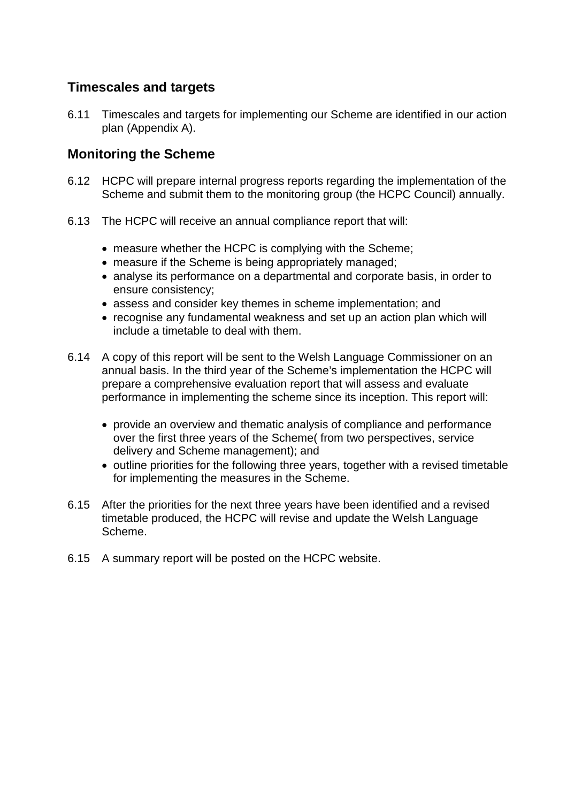### **Timescales and targets**

6.11 Timescales and targets for implementing our Scheme are identified in our action plan (Appendix A).

#### **Monitoring the Scheme**

- 6.12 HCPC will prepare internal progress reports regarding the implementation of the Scheme and submit them to the monitoring group (the HCPC Council) annually.
- 6.13 The HCPC will receive an annual compliance report that will:
	- measure whether the HCPC is complying with the Scheme;
	- measure if the Scheme is being appropriately managed;
	- analyse its performance on a departmental and corporate basis, in order to ensure consistency;
	- assess and consider key themes in scheme implementation; and
	- recognise any fundamental weakness and set up an action plan which will include a timetable to deal with them.
- 6.14 A copy of this report will be sent to the Welsh Language Commissioner on an annual basis. In the third year of the Scheme's implementation the HCPC will prepare a comprehensive evaluation report that will assess and evaluate performance in implementing the scheme since its inception. This report will:
	- provide an overview and thematic analysis of compliance and performance over the first three years of the Scheme( from two perspectives, service delivery and Scheme management); and
	- outline priorities for the following three years, together with a revised timetable for implementing the measures in the Scheme.
- 6.15 After the priorities for the next three years have been identified and a revised timetable produced, the HCPC will revise and update the Welsh Language Scheme.
- 6.15 A summary report will be posted on the HCPC website.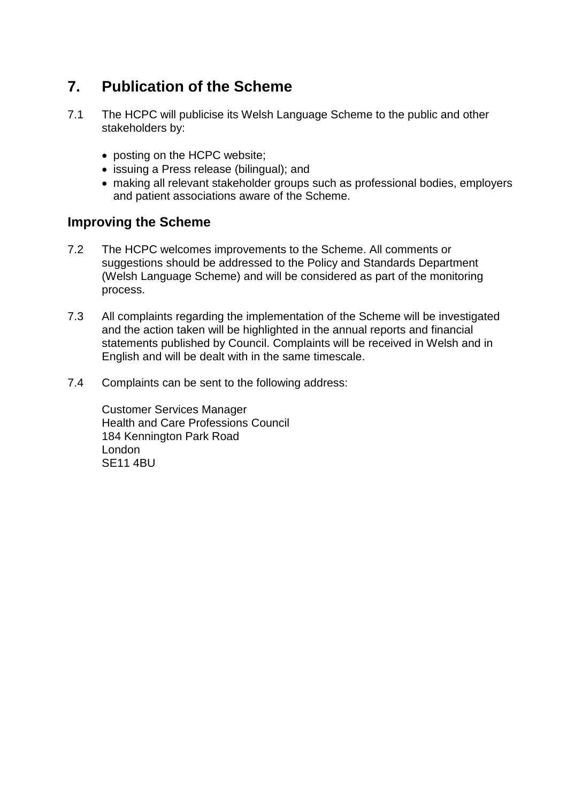# **7. Publication of the Scheme**

- 7.1 The HCPC will publicise its Welsh Language Scheme to the public and other stakeholders by:
	- posting on the HCPC website;
	- issuing a Press release (bilingual); and
	- making all relevant stakeholder groups such as professional bodies, employers and patient associations aware of the Scheme.

#### **Improving the Scheme**

- 7.2 The HCPC welcomes improvements to the Scheme. All comments or suggestions should be addressed to the Policy and Standards Department (Welsh Language Scheme) and will be considered as part of the monitoring process.
- 7.3 All complaints regarding the implementation of the Scheme will be investigated and the action taken will be highlighted in the annual reports and financial statements published by Council. Complaints will be received in Welsh and in English and will be dealt with in the same timescale.
- 7.4 Complaints can be sent to the following address:

Customer Services Manager Health and Care Professions Council 184 Kennington Park Road London SE11 4BU